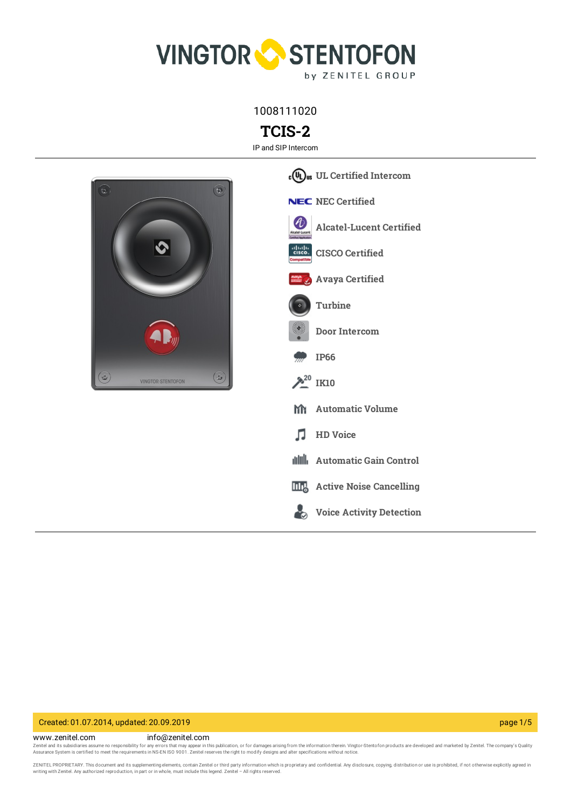

1008111020

**TCIS-2**

IP and SIP Intercom



### Created: 01.07.2014, updated: 20.09.2019 page 1/5

www.zenitel.com info@zenitel.com

Zenitel and its subsidiaries assume no responsibility for any errors that may appear in this publication, or for damages arising from the information therein. Vingtor-Stentofon products are developed and marketed by Zenite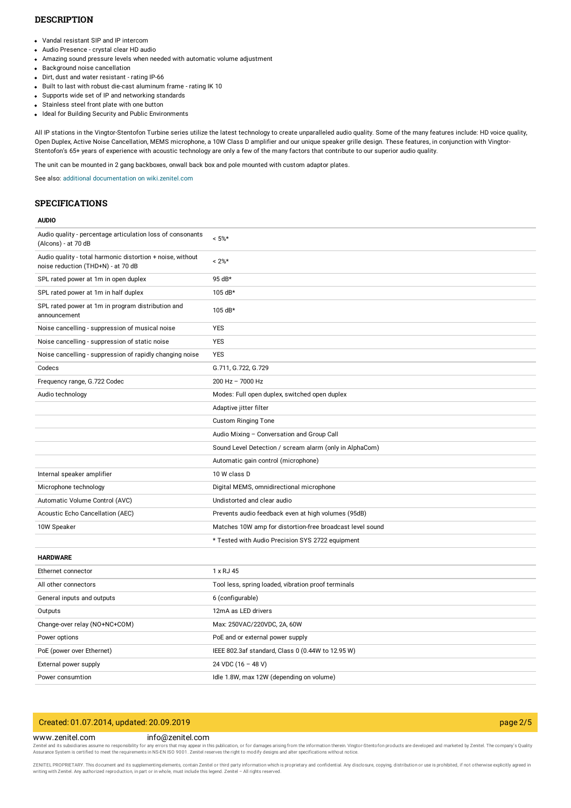### **DESCRIPTION**

- Vandal resistant SIP and IP intercom
- Audio Presence crystal clear HD audio
- Amazing sound pressure levels when needed with automatic volume adjustment  $\bullet$
- Background noise cancellation
- Dirt, dust and water resistant rating IP-66
- Built to last with robust die-cast aluminum frame rating IK 10
- Supports wide set of IP and networking standards
- Stainless steel front plate with one button
- Ideal for Building Security and Public Environments

All IP stations in the Vingtor-Stentofon Turbine series utilize the latest technology to create unparalleled audio quality. Some of the many features include: HD voice quality, Open Duplex, Active Noise Cancellation, MEMS microphone, a 10W Class D amplifier and our unique speaker grille design. These features, in conjunction with Vingtor-Stentofon's 65+ years of experience with acoustic technology are only a few of the many factors that contribute to our superior audio quality.

The unit can be mounted in 2 gang backboxes, onwall back box and pole mounted with custom adaptor plates.

See also: additional documentation on [wiki.zenitel.com](https://wiki.zenitel.com/wiki/TCIS-2)

### **SPECIFICATIONS**

### **AUDIO**

| Audio quality - percentage articulation loss of consonants<br>(Alcons) - at 70 dB                | $< 5\%$ *                                                 |
|--------------------------------------------------------------------------------------------------|-----------------------------------------------------------|
| Audio quality - total harmonic distortion + noise, without<br>noise reduction (THD+N) - at 70 dB | $< 2\%$ *                                                 |
| SPL rated power at 1m in open duplex                                                             | 95 dB*                                                    |
| SPL rated power at 1m in half duplex                                                             | 105 dB*                                                   |
| SPL rated power at 1m in program distribution and<br>announcement                                | 105 dB*                                                   |
| Noise cancelling - suppression of musical noise                                                  | <b>YES</b>                                                |
| Noise cancelling - suppression of static noise                                                   | YES                                                       |
| Noise cancelling - suppression of rapidly changing noise                                         | <b>YES</b>                                                |
| Codecs                                                                                           | G.711, G.722, G.729                                       |
| Frequency range, G.722 Codec                                                                     | $200$ Hz $- 7000$ Hz                                      |
| Audio technology                                                                                 | Modes: Full open duplex, switched open duplex             |
|                                                                                                  | Adaptive jitter filter                                    |
|                                                                                                  | <b>Custom Ringing Tone</b>                                |
|                                                                                                  | Audio Mixing - Conversation and Group Call                |
|                                                                                                  | Sound Level Detection / scream alarm (only in AlphaCom)   |
|                                                                                                  | Automatic gain control (microphone)                       |
| Internal speaker amplifier                                                                       | 10 W class D                                              |
| Microphone technology                                                                            | Digital MEMS, omnidirectional microphone                  |
| Automatic Volume Control (AVC)                                                                   | Undistorted and clear audio                               |
| Acoustic Echo Cancellation (AEC)                                                                 | Prevents audio feedback even at high volumes (95dB)       |
| 10W Speaker                                                                                      | Matches 10W amp for distortion-free broadcast level sound |
|                                                                                                  | * Tested with Audio Precision SYS 2722 equipment          |
| <b>HARDWARE</b>                                                                                  |                                                           |
| Ethernet connector                                                                               | 1 x RJ 45                                                 |
| All other connectors                                                                             | Tool less, spring loaded, vibration proof terminals       |
| General inputs and outputs                                                                       | 6 (configurable)                                          |
| Outputs                                                                                          | 12mA as LED drivers                                       |
| Change-over relay (NO+NC+COM)                                                                    | Max: 250VAC/220VDC, 2A, 60W                               |
| Power options                                                                                    | PoE and or external power supply                          |
| PoE (power over Ethernet)                                                                        | IEEE 802.3af standard, Class 0 (0.44W to 12.95 W)         |
| External power supply                                                                            | 24 VDC (16 - 48 V)                                        |
| Power consumtion                                                                                 | Idle 1.8W, max 12W (depending on volume)                  |

## Created: 01.07.2014, updated: 20.09.2019 page 2/5

### www.zenitel.com info@zenitel.com

Zenitel and its subsidiaries assume no responsibility for any errors that may appear in this publication, or for damages arising from the information therein. Vingtor-Stentofon products are developed and marketed by Zenite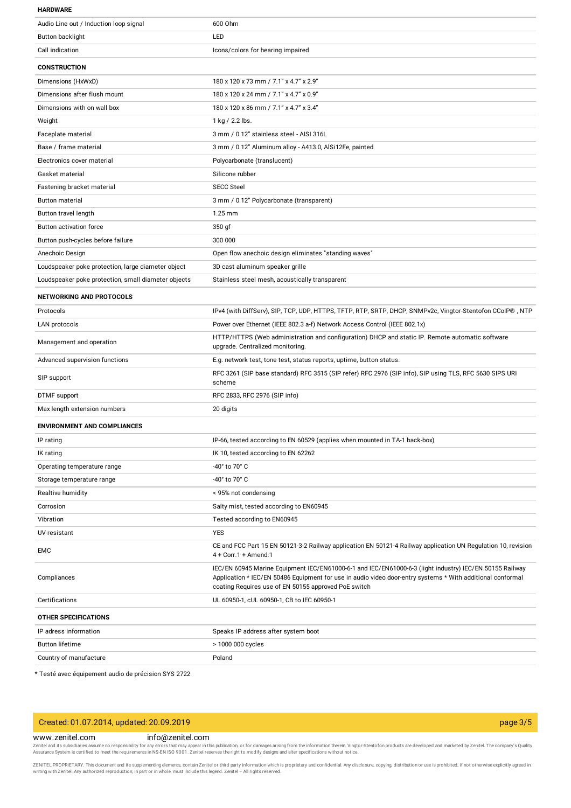#### **HARDWARE**

| Audio Line out / Induction loop signal              | 600 Ohm                                                                                                                                                                                                                                                                       |  |
|-----------------------------------------------------|-------------------------------------------------------------------------------------------------------------------------------------------------------------------------------------------------------------------------------------------------------------------------------|--|
| Button backlight                                    | LED                                                                                                                                                                                                                                                                           |  |
| Call indication                                     | Icons/colors for hearing impaired                                                                                                                                                                                                                                             |  |
| <b>CONSTRUCTION</b>                                 |                                                                                                                                                                                                                                                                               |  |
| Dimensions (HxWxD)                                  | 180 x 120 x 73 mm / 7.1" x 4.7" x 2.9"                                                                                                                                                                                                                                        |  |
| Dimensions after flush mount                        | 180 x 120 x 24 mm / 7.1" x 4.7" x 0.9"                                                                                                                                                                                                                                        |  |
| Dimensions with on wall box                         | 180 x 120 x 86 mm / 7.1" x 4.7" x 3.4"                                                                                                                                                                                                                                        |  |
| Weight                                              | 1 kg / 2.2 lbs.                                                                                                                                                                                                                                                               |  |
| Faceplate material                                  | 3 mm / 0.12" stainless steel - AISI 316L                                                                                                                                                                                                                                      |  |
| Base / frame material                               | 3 mm / 0.12" Aluminum alloy - A413.0, AlSi12Fe, painted                                                                                                                                                                                                                       |  |
| Electronics cover material                          | Polycarbonate (translucent)                                                                                                                                                                                                                                                   |  |
| Gasket material                                     | Silicone rubber                                                                                                                                                                                                                                                               |  |
| Fastening bracket material                          | <b>SECC Steel</b>                                                                                                                                                                                                                                                             |  |
| Button material                                     | 3 mm / 0.12" Polycarbonate (transparent)                                                                                                                                                                                                                                      |  |
| Button travel length                                | $1.25$ mm                                                                                                                                                                                                                                                                     |  |
| Button activation force                             | 350 gf                                                                                                                                                                                                                                                                        |  |
| Button push-cycles before failure                   | 300 000                                                                                                                                                                                                                                                                       |  |
| Anechoic Design                                     | Open flow anechoic design eliminates "standing waves"                                                                                                                                                                                                                         |  |
| Loudspeaker poke protection, large diameter object  | 3D cast aluminum speaker grille                                                                                                                                                                                                                                               |  |
| Loudspeaker poke protection, small diameter objects | Stainless steel mesh, acoustically transparent                                                                                                                                                                                                                                |  |
| NETWORKING AND PROTOCOLS                            |                                                                                                                                                                                                                                                                               |  |
| Protocols                                           | IPv4 (with DiffServ), SIP, TCP, UDP, HTTPS, TFTP, RTP, SRTP, DHCP, SNMPv2c, Vingtor-Stentofon CCoIP®, NTP                                                                                                                                                                     |  |
| LAN protocols                                       | Power over Ethernet (IEEE 802.3 a-f) Network Access Control (IEEE 802.1x)                                                                                                                                                                                                     |  |
| Management and operation                            | HTTP/HTTPS (Web administration and configuration) DHCP and static IP. Remote automatic software<br>upgrade. Centralized monitoring.                                                                                                                                           |  |
| Advanced supervision functions                      | E.g. network test, tone test, status reports, uptime, button status.                                                                                                                                                                                                          |  |
| SIP support                                         | RFC 3261 (SIP base standard) RFC 3515 (SIP refer) RFC 2976 (SIP info), SIP using TLS, RFC 5630 SIPS URI<br>scheme                                                                                                                                                             |  |
| <b>DTMF</b> support                                 | RFC 2833, RFC 2976 (SIP info)                                                                                                                                                                                                                                                 |  |
| Max length extension numbers                        | 20 digits                                                                                                                                                                                                                                                                     |  |
| <b>ENVIRONMENT AND COMPLIANCES</b>                  |                                                                                                                                                                                                                                                                               |  |
| IP rating                                           | IP-66, tested according to EN 60529 (applies when mounted in TA-1 back-box)                                                                                                                                                                                                   |  |
| IK rating                                           | IK 10, tested according to EN 62262                                                                                                                                                                                                                                           |  |
| Operating temperature range                         | -40° to 70° C                                                                                                                                                                                                                                                                 |  |
| Storage temperature range                           | -40° to 70° C                                                                                                                                                                                                                                                                 |  |
| Realtive humidity                                   | < 95% not condensing                                                                                                                                                                                                                                                          |  |
| Corrosion                                           | Salty mist, tested according to EN60945                                                                                                                                                                                                                                       |  |
| Vibration                                           | Tested according to EN60945                                                                                                                                                                                                                                                   |  |
| UV-resistant                                        | <b>YES</b>                                                                                                                                                                                                                                                                    |  |
| <b>EMC</b>                                          | CE and FCC Part 15 EN 50121-3-2 Railway application EN 50121-4 Railway application UN Regulation 10, revision<br>$4 + Corr.1 + A$ mend.1                                                                                                                                      |  |
| Compliances                                         | IEC/EN 60945 Marine Equipment IEC/EN61000-6-1 and IEC/EN61000-6-3 (light industry) IEC/EN 50155 Railway<br>Application * IEC/EN 50486 Equipment for use in audio video door-entry systems * With additional conformal<br>coating Requires use of EN 50155 approved PoE switch |  |
| Certifications                                      | UL 60950-1, cUL 60950-1, CB to IEC 60950-1                                                                                                                                                                                                                                    |  |
| OTHER SPECIFICATIONS                                |                                                                                                                                                                                                                                                                               |  |
| IP adress information                               | Speaks IP address after system boot                                                                                                                                                                                                                                           |  |
| <b>Button lifetime</b>                              | > 1000 000 cycles                                                                                                                                                                                                                                                             |  |
| Country of manufacture                              | Poland                                                                                                                                                                                                                                                                        |  |
|                                                     |                                                                                                                                                                                                                                                                               |  |

\* Testé avec équipement audio de précision SYS 2722

| Created: 01.07.2014, updated: 20.09.2019 |                  | page 3/5 |
|------------------------------------------|------------------|----------|
| www.zenitel.com                          | info@zenitel.com |          |

Zenitel and its subsidiaries assume no responsibility for any errors that may appear in this publication, or for damages arising from the information therein. Vingtor-Stentofon products are developed and marketed by Zenite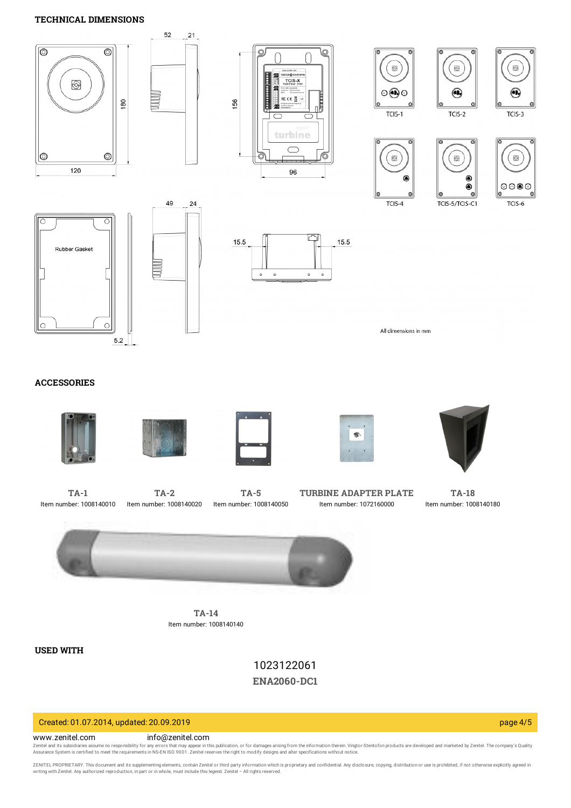## **TECHNICAL DIMENSIONS**



## **ACCESSORIES**











**[TA-1](https://www.zenitel.com/product/ta-1)** Item number: 1008140010



**[TA-5](https://www.zenitel.com/product/ta-5)** Item number: 1008140050

**TURBINE [ADAPTER](https://www.zenitel.com/product/turbine-adapter-plate) PLATE** Item number: 1072160000

**[TA-18](https://www.zenitel.com/product/ta-18)** Item number: 1008140180



**[TA-14](https://www.zenitel.com/product/ta-14)** Item number: 1008140140

**USED WITH**

1023122061 **[ENA2060-DC1](https://www.zenitel.com/product/ena2060-dc1)**

## Created: 01.07.2014, updated: 20.09.2019 page 4/5

#### www.zenitel.com info@zenitel.com

Zenitel and its subsidiaries assume no responsibility for any errors that may appear in this publication, or for damages arising from the information therein. Vingtor-Stentofon products are developed and marketed by Zenite